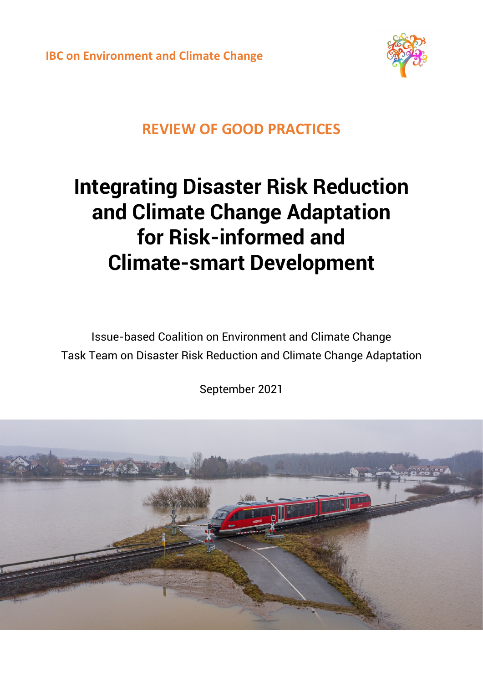

## **REVIEW OF GOOD PRACTICES**

# **Integrating Disaster Risk Reduction and Climate Change Adaptation for Risk-informed and Climate-smart Development**

Issue-based Coalition on Environment and Climate Change Task Team on Disaster Risk Reduction and Climate Change Adaptation

September 2021

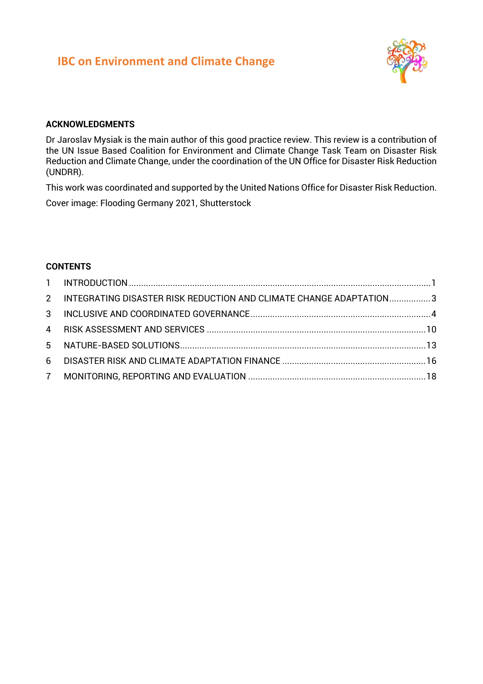

#### **ACKNOWLEDGMENTS**

Dr Jaroslav Mysiak is the main author of this good practice review. This review is a contribution of the UN Issue Based Coalition for Environment and Climate Change Task Team on Disaster Risk Reduction and Climate Change, under the coordination of the UN Office for Disaster Risk Reduction (UNDRR).

This work was coordinated and supported by the United Nations Office for Disaster Risk Reduction.

Cover image: Flooding Germany 2021, Shutterstock

#### **CONTENTS**

| 2 INTEGRATING DISASTER RISK REDUCTION AND CLIMATE CHANGE ADAPTATION3 |  |
|----------------------------------------------------------------------|--|
|                                                                      |  |
|                                                                      |  |
|                                                                      |  |
|                                                                      |  |
|                                                                      |  |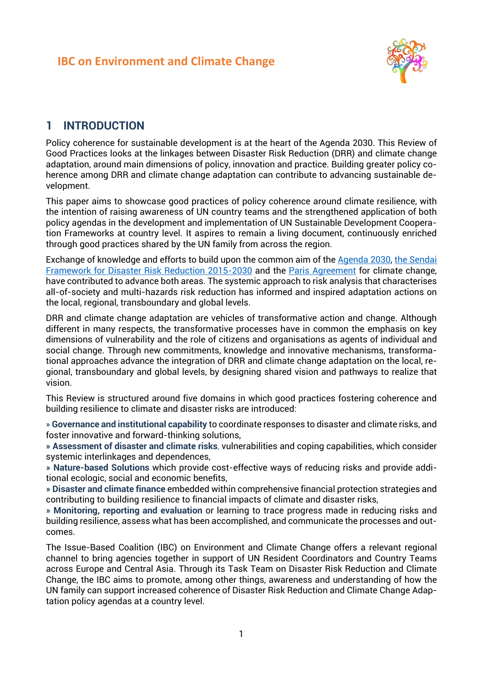

#### <span id="page-2-0"></span>**1 INTRODUCTION**

Policy coherence for sustainable development is at the heart of the Agenda 2030. This Review of Good Practices looks at the linkages between Disaster Risk Reduction (DRR) and climate change adaptation, around main dimensions of policy, innovation and practice. Building greater policy coherence among DRR and climate change adaptation can contribute to advancing sustainable development.

This paper aims to showcase good practices of policy coherence around climate resilience, with the intention of raising awareness of UN country teams and the strengthened application of both policy agendas in the development and implementation of UN Sustainable Development Cooperation Frameworks at country level. It aspires to remain a living document, continuously enriched through good practices shared by the UN family from across the region.

Exchange of knowledge and efforts to build upon the common aim of the [Agenda 2030,](https://www.un.org/sustainabledevelopment/development-agenda/) [the Sendai](https://www.undrr.org/implementing-sendai-framework/what-sendai-framework)  [Framework for Disaster Risk Reduction](https://www.undrr.org/implementing-sendai-framework/what-sendai-framework) 2015-2030 and the [Paris Agreement](https://unfccc.int/process-and-meetings/the-paris-agreement/the-paris-agreement) for climate change, have contributed to advance both areas. The systemic approach to risk analysis that characterises all-of-society and multi-hazards risk reduction has informed and inspired adaptation actions on the local, regional, transboundary and global levels.

DRR and climate change adaptation are vehicles of transformative action and change. Although different in many respects, the transformative processes have in common the emphasis on key dimensions of vulnerability and the role of citizens and organisations as agents of individual and social change. Through new commitments, knowledge and innovative mechanisms, transformational approaches advance the integration of DRR and climate change adaptation on the local, regional, transboundary and global levels, by designing shared vision and pathways to realize that vision.

This Review is structured around five domains in which good practices fostering coherence and building resilience to climate and disaster risks are introduced:

» **Governance and institutional capability** to coordinate responses to disaster and climate risks, and foster innovative and forward-thinking solutions,

**» Assessment of disaster and climate risks**, vulnerabilities and coping capabilities, which consider systemic interlinkages and dependences,

**» Nature-based Solutions** which provide cost-effective ways of reducing risks and provide additional ecologic, social and economic benefits,

**» Disaster and climate finance** embedded within comprehensive financial protection strategies and contributing to building resilience to financial impacts of climate and disaster risks,

**» Monitoring, reporting and evaluation** or learning to trace progress made in reducing risks and building resilience, assess what has been accomplished, and communicate the processes and outcomes.

The Issue-Based Coalition (IBC) on Environment and Climate Change offers a relevant regional channel to bring agencies together in support of UN Resident Coordinators and Country Teams across Europe and Central Asia. Through its Task Team on Disaster Risk Reduction and Climate Change, the IBC aims to promote, among other things, awareness and understanding of how the UN family can support increased coherence of Disaster Risk Reduction and Climate Change Adaptation policy agendas at a country level.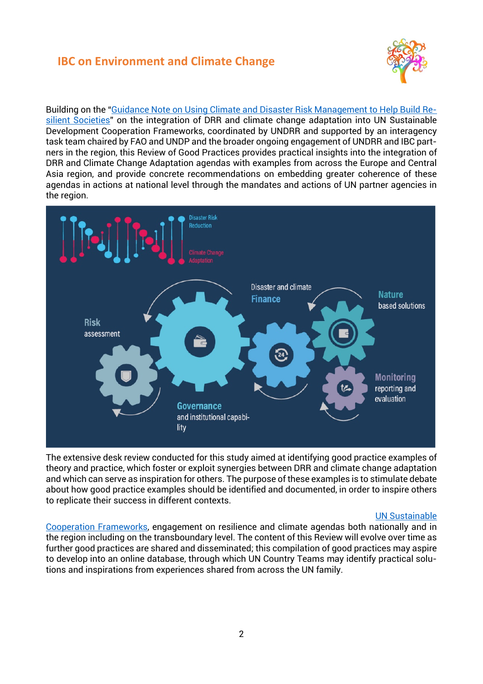

Building on the ["Guidance Note on Using Climate and Disaster Risk Management to Help Build Re](https://www.undrr.org/publication/integrating-disaster-risk-reduction-and-climate-change-adaptation-un-sustainable)[silient Societies"](https://www.undrr.org/publication/integrating-disaster-risk-reduction-and-climate-change-adaptation-un-sustainable) on the integration of DRR and climate change adaptation into UN Sustainable Development Cooperation Frameworks, coordinated by UNDRR and supported by an interagency task team chaired by FAO and UNDP and the broader ongoing engagement of UNDRR and IBC partners in the region, this Review of Good Practices provides practical insights into the integration of DRR and Climate Change Adaptation agendas with examples from across the Europe and Central Asia region, and provide concrete recommendations on embedding greater coherence of these agendas in actions at national level through the mandates and actions of UN partner agencies in the region.



The extensive desk review conducted for this study aimed at identifying good practice examples of theory and practice, which foster or exploit synergies between DRR and climate change adaptation and which can serve as inspiration for others. The purpose of these examples is to stimulate debate about how good practice examples should be identified and documented, in order to inspire others to replicate their success in different contexts.

#### [UN Sustainable](https://unsdg.un.org/resources/united-nations-sustainable-development-cooperation-framework-guidance)

[Cooperation Frameworks,](https://unsdg.un.org/resources/united-nations-sustainable-development-cooperation-framework-guidance) engagement on resilience and climate agendas both nationally and in the region including on the transboundary level. The content of this Review will evolve over time as further good practices are shared and disseminated; this compilation of good practices may aspire to develop into an online database, through which UN Country Teams may identify practical solutions and inspirations from experiences shared from across the UN family.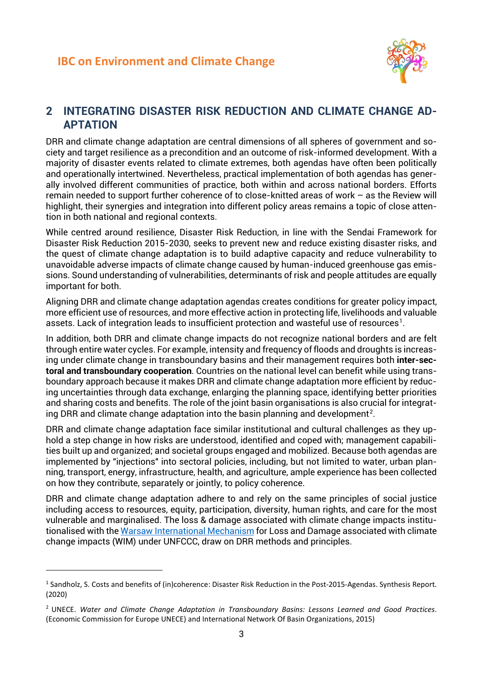

#### <span id="page-4-0"></span>**2 INTEGRATING DISASTER RISK REDUCTION AND CLIMATE CHANGE AD-APTATION**

DRR and climate change adaptation are central dimensions of all spheres of government and society and target resilience as a precondition and an outcome of risk-informed development. With a majority of disaster events related to climate extremes, both agendas have often been politically and operationally intertwined. Nevertheless, practical implementation of both agendas has generally involved different communities of practice, both within and across national borders. Efforts remain needed to support further coherence of to close-knitted areas of work – as the Review will highlight, their synergies and integration into different policy areas remains a topic of close attention in both national and regional contexts.

While centred around resilience, Disaster Risk Reduction, in line with the Sendai Framework for Disaster Risk Reduction 2015-2030, seeks to prevent new and reduce existing disaster risks, and the quest of climate change adaptation is to build adaptive capacity and reduce vulnerability to unavoidable adverse impacts of climate change caused by human-induced greenhouse gas emissions. Sound understanding of vulnerabilities, determinants of risk and people attitudes are equally important for both.

Aligning DRR and climate change adaptation agendas creates conditions for greater policy impact, more efficient use of resources, and more effective action in protecting life, livelihoods and valuable assets. Lack of integration leads to insufficient protection and wasteful use of resources<sup>[1](#page-4-1)</sup>.

In addition, both DRR and climate change impacts do not recognize national borders and are felt through entire water cycles. For example, intensity and frequency of floods and droughts is increasing under climate change in transboundary basins and their management requires both **inter-sectoral and transboundary cooperation**. Countries on the national level can benefit while using transboundary approach because it makes DRR and climate change adaptation more efficient by reducing uncertainties through data exchange, enlarging the planning space, identifying better priorities and sharing costs and benefits. The role of the joint basin organisations is also crucial for integrat-ing DRR and climate change adaptation into the basin planning and development<sup>[2](#page-4-2)</sup>.

DRR and climate change adaptation face similar institutional and cultural challenges as they uphold a step change in how risks are understood, identified and coped with; management capabilities built up and organized; and societal groups engaged and mobilized. Because both agendas are implemented by "injections" into sectoral policies, including, but not limited to water, urban planning, transport, energy, infrastructure, health, and agriculture, ample experience has been collected on how they contribute, separately or jointly, to policy coherence.

DRR and climate change adaptation adhere to and rely on the same principles of social justice including access to resources, equity, participation, diversity, human rights, and care for the most vulnerable and marginalised. The loss & damage associated with climate change impacts institutionalised with the [Warsaw International Mechanism](https://unfccc.int/topics/adaptation-and-resilience/workstreams/loss-and-damage-ld/warsaw-international-mechanism-for-loss-and-damage-associated-with-climate-change-impacts-wim) for Loss and Damage associated with climate change impacts (WIM) under UNFCCC, draw on DRR methods and principles.

<span id="page-4-1"></span><sup>&</sup>lt;sup>1</sup> Sandholz, S. Costs and benefits of (in)coherence: Disaster Risk Reduction in the Post-2015-Agendas. Synthesis Report. (2020)

<span id="page-4-2"></span><sup>2</sup> UNECE. *Water and Climate Change Adaptation in Transboundary Basins: Lessons Learned and Good Practices*. (Economic Commission for Europe UNECE) and International Network Of Basin Organizations, 2015)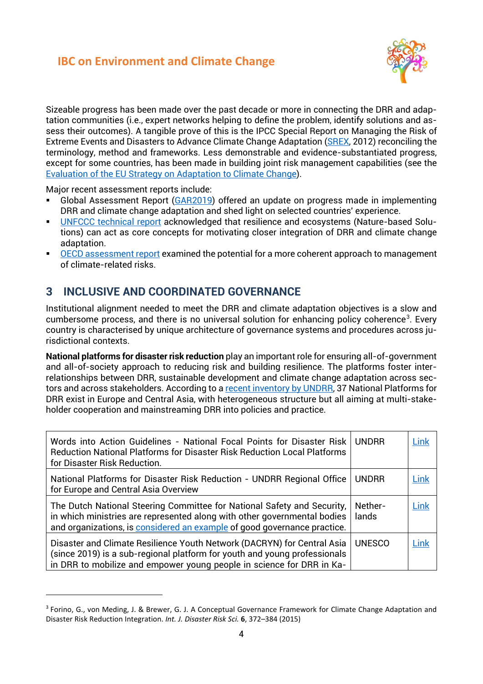

Sizeable progress has been made over the past decade or more in connecting the DRR and adaptation communities (i.e., expert networks helping to define the problem, identify solutions and assess their outcomes). A tangible prove of this is the IPCC Special Report on Managing the Risk of Extreme Events and Disasters to Advance Climate Change Adaptation [\(SREX,](https://www.ipcc.ch/report/managing-the-risks-of-extreme-events-and-disasters-to-advance-climate-change-adaptation/) 2012) reconciling the terminology, method and frameworks. Less demonstrable and evidence-substantiated progress, except for some countries, has been made in building joint risk management capabilities (see the [Evaluation of the EU Strategy on Adaptation to Climate Change\)](https://eur-lex.europa.eu/legal-content/EN/TXT/?uri=CELEX%3A52018SC0461).

Major recent assessment reports include:

- Global Assessment Report [\(GAR2019\)](https://gar.undrr.org/) offered an update on progress made in implementing DRR and climate change adaptation and shed light on selected countries' experience.
- [UNFCCC technical report](https://unfccc.int/documents/28265) acknowledged that resilience and ecosystems (Nature-based Solutions) can act as core concepts for motivating closer integration of DRR and climate change adaptation.
- [OECD assessment report](https://www.oecd.org/environment/common-ground-between-the-paris-agreement-and-the-sendai-framework-3edc8d09-en.htm) examined the potential for a more coherent approach to management of climate-related risks.

#### <span id="page-5-0"></span>**3 INCLUSIVE AND COORDINATED GOVERNANCE**

Institutional alignment needed to meet the DRR and climate adaptation objectives is a slow and cumbersome process, and there is no universal solution for enhancing policy coherence<sup>[3](#page-5-1)</sup>. Every country is characterised by unique architecture of governance systems and procedures across jurisdictional contexts.

**National platforms for disaster risk reduction** play an important role for ensuring all-of-government and all-of-society approach to reducing risk and building resilience. The platforms foster interrelationships between DRR, sustainable development and climate change adaptation across sectors and across stakeholders. According to a [recent inventory](https://www.undrr.org/publication/national-platforms-disaster-risk-reduction-undrr-regional-office-europe-and-central) by UNDRR, 37 National Platforms for DRR exist in Europe and Central Asia, with heterogeneous structure but all aiming at multi-stakeholder cooperation and mainstreaming DRR into policies and practice.

| Words into Action Guidelines - National Focal Points for Disaster Risk<br><b>Reduction National Platforms for Disaster Risk Reduction Local Platforms</b><br>for Disaster Risk Reduction.                                       | <b>UNDRR</b>     | Link        |
|---------------------------------------------------------------------------------------------------------------------------------------------------------------------------------------------------------------------------------|------------------|-------------|
| National Platforms for Disaster Risk Reduction - UNDRR Regional Office<br>for Europe and Central Asia Overview                                                                                                                  | <b>UNDRR</b>     | <b>Link</b> |
| The Dutch National Steering Committee for National Safety and Security,<br>in which ministries are represented along with other governmental bodies<br>and organizations, is considered an example of good governance practice. | Nether-<br>lands | Link        |
| Disaster and Climate Resilience Youth Network (DACRYN) for Central Asia<br>(since 2019) is a sub-regional platform for youth and young professionals<br>in DRR to mobilize and empower young people in science for DRR in Ka-   | <b>UNESCO</b>    | Link        |

<span id="page-5-1"></span><sup>3</sup> Forino, G., von Meding, J. & Brewer, G. J. A Conceptual Governance Framework for Climate Change Adaptation and Disaster Risk Reduction Integration. *Int. J. Disaster Risk Sci.* **6**, 372–384 (2015)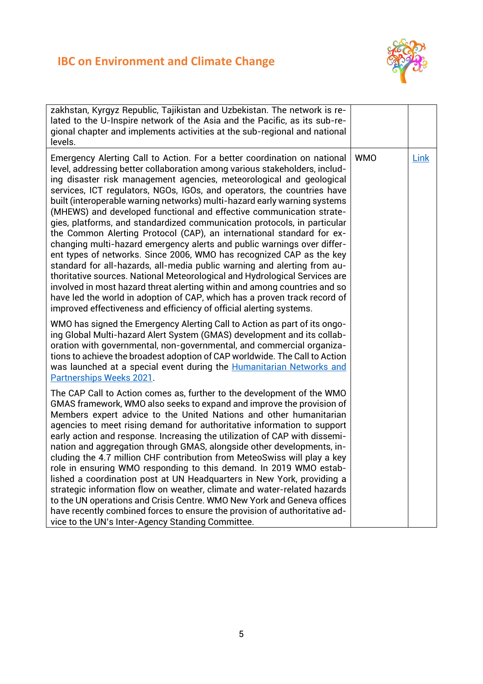

| zakhstan, Kyrgyz Republic, Tajikistan and Uzbekistan. The network is re-<br>lated to the U-Inspire network of the Asia and the Pacific, as its sub-re-<br>gional chapter and implements activities at the sub-regional and national<br>levels.                                                                                                                                                                                                                                                                                                                                                                                                                                                                                                                                                                                                                                                                                                                                                                                                                                                                                                                    |            |      |
|-------------------------------------------------------------------------------------------------------------------------------------------------------------------------------------------------------------------------------------------------------------------------------------------------------------------------------------------------------------------------------------------------------------------------------------------------------------------------------------------------------------------------------------------------------------------------------------------------------------------------------------------------------------------------------------------------------------------------------------------------------------------------------------------------------------------------------------------------------------------------------------------------------------------------------------------------------------------------------------------------------------------------------------------------------------------------------------------------------------------------------------------------------------------|------------|------|
| Emergency Alerting Call to Action. For a better coordination on national<br>level, addressing better collaboration among various stakeholders, includ-<br>ing disaster risk management agencies, meteorological and geological<br>services, ICT regulators, NGOs, IGOs, and operators, the countries have<br>built (interoperable warning networks) multi-hazard early warning systems<br>(MHEWS) and developed functional and effective communication strate-<br>gies, platforms, and standardized communication protocols, in particular<br>the Common Alerting Protocol (CAP), an international standard for ex-<br>changing multi-hazard emergency alerts and public warnings over differ-<br>ent types of networks. Since 2006, WMO has recognized CAP as the key<br>standard for all-hazards, all-media public warning and alerting from au-<br>thoritative sources. National Meteorological and Hydrological Services are<br>involved in most hazard threat alerting within and among countries and so<br>have led the world in adoption of CAP, which has a proven track record of<br>improved effectiveness and efficiency of official alerting systems. | <b>WMO</b> | Link |
| WMO has signed the Emergency Alerting Call to Action as part of its ongo-<br>ing Global Multi-hazard Alert System (GMAS) development and its collab-<br>oration with governmental, non-governmental, and commercial organiza-<br>tions to achieve the broadest adoption of CAP worldwide. The Call to Action<br>was launched at a special event during the Humanitarian Networks and<br><b>Partnerships Weeks 2021.</b>                                                                                                                                                                                                                                                                                                                                                                                                                                                                                                                                                                                                                                                                                                                                           |            |      |
| The CAP Call to Action comes as, further to the development of the WMO<br>GMAS framework, WMO also seeks to expand and improve the provision of<br>Members expert advice to the United Nations and other humanitarian<br>agencies to meet rising demand for authoritative information to support<br>early action and response. Increasing the utilization of CAP with dissemi-<br>nation and aggregation through GMAS, alongside other developments, in-<br>cluding the 4.7 million CHF contribution from MeteoSwiss will play a key<br>role in ensuring WMO responding to this demand. In 2019 WMO estab-<br>lished a coordination post at UN Headquarters in New York, providing a<br>strategic information flow on weather, climate and water-related hazards<br>to the UN operations and Crisis Centre. WMO New York and Geneva offices<br>have recently combined forces to ensure the provision of authoritative ad-<br>vice to the UN's Inter-Agency Standing Committee.                                                                                                                                                                                    |            |      |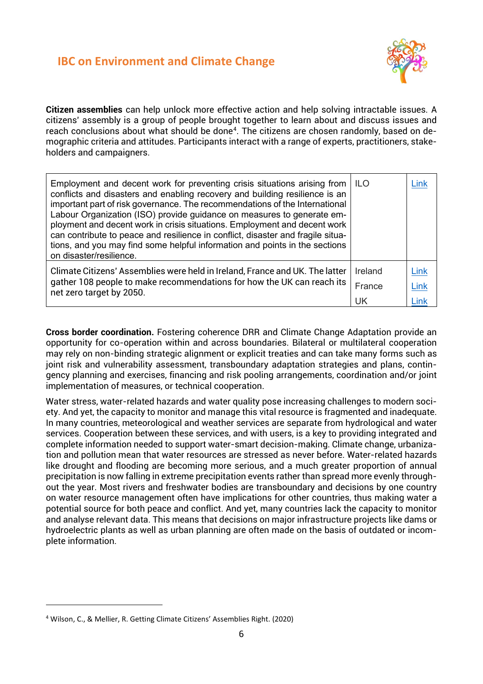

**Citizen assemblies** can help unlock more effective action and help solving intractable issues. A citizens' assembly is a group of people brought together to learn about and discuss issues and reach conclusions about what should be done<sup>4</sup>. The citizens are chosen randomly, based on demographic criteria and attitudes. Participants interact with a range of experts, practitioners, stakeholders and campaigners.

| Employment and decent work for preventing crisis situations arising from<br>conflicts and disasters and enabling recovery and building resilience is an<br>important part of risk governance. The recommendations of the International<br>Labour Organization (ISO) provide guidance on measures to generate em-<br>ployment and decent work in crisis situations. Employment and decent work<br>can contribute to peace and resilience in conflict, disaster and fragile situa-<br>tions, and you may find some helpful information and points in the sections<br>on disaster/resilience. | <b>ILO</b> | Link  |
|--------------------------------------------------------------------------------------------------------------------------------------------------------------------------------------------------------------------------------------------------------------------------------------------------------------------------------------------------------------------------------------------------------------------------------------------------------------------------------------------------------------------------------------------------------------------------------------------|------------|-------|
| Climate Citizens' Assemblies were held in Ireland, France and UK. The latter                                                                                                                                                                                                                                                                                                                                                                                                                                                                                                               | Ireland    | Link  |
| gather 108 people to make recommendations for how the UK can reach its<br>net zero target by 2050.                                                                                                                                                                                                                                                                                                                                                                                                                                                                                         | France     | Link  |
|                                                                                                                                                                                                                                                                                                                                                                                                                                                                                                                                                                                            | UK         | 1 ink |

**Cross border coordination.** Fostering coherence DRR and Climate Change Adaptation provide an opportunity for co-operation within and across boundaries. Bilateral or multilateral cooperation may rely on non-binding strategic alignment or explicit treaties and can take many forms such as joint risk and vulnerability assessment, transboundary adaptation strategies and plans, contingency planning and exercises, financing and risk pooling arrangements, coordination and/or joint implementation of measures, or technical cooperation.

Water stress, water-related hazards and water quality pose increasing challenges to modern society. And yet, the capacity to monitor and manage this vital resource is fragmented and inadequate. In many countries, meteorological and weather services are separate from hydrological and water services. Cooperation between these services, and with users, is a key to providing integrated and complete information needed to support water-smart decision-making. Climate change, urbanization and pollution mean that water resources are stressed as never before. Water-related hazards like drought and flooding are becoming more serious, and a much greater proportion of annual precipitation is now falling in extreme precipitation events rather than spread more evenly throughout the year. Most rivers and freshwater bodies are transboundary and decisions by one country on water resource management often have implications for other countries, thus making water a potential source for both peace and conflict. And yet, many countries lack the capacity to monitor and analyse relevant data. This means that decisions on major infrastructure projects like dams or hydroelectric plants as well as urban planning are often made on the basis of outdated or incomplete information.

<span id="page-7-0"></span><sup>4</sup> Wilson, C., & Mellier, R. Getting Climate Citizens' Assemblies Right. (2020)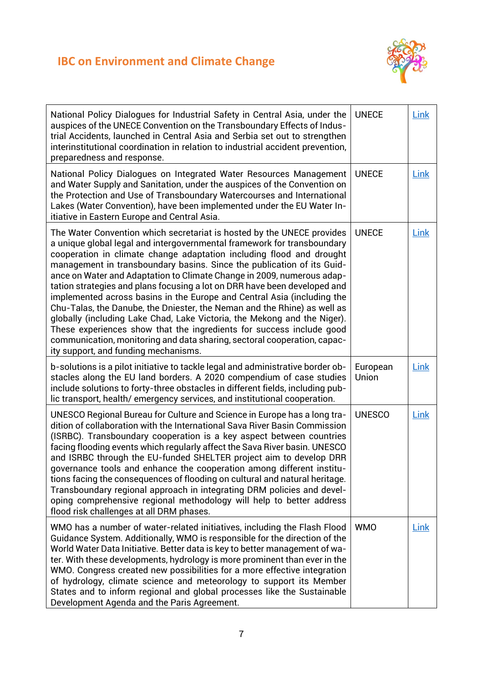

| National Policy Dialogues for Industrial Safety in Central Asia, under the<br>auspices of the UNECE Convention on the Transboundary Effects of Indus-<br>trial Accidents, launched in Central Asia and Serbia set out to strengthen<br>interinstitutional coordination in relation to industrial accident prevention,<br>preparedness and response.                                                                                                                                                                                                                                                                                                                                                                                                                                                                                                                                       | <b>UNECE</b>      | Link        |
|-------------------------------------------------------------------------------------------------------------------------------------------------------------------------------------------------------------------------------------------------------------------------------------------------------------------------------------------------------------------------------------------------------------------------------------------------------------------------------------------------------------------------------------------------------------------------------------------------------------------------------------------------------------------------------------------------------------------------------------------------------------------------------------------------------------------------------------------------------------------------------------------|-------------------|-------------|
| National Policy Dialogues on Integrated Water Resources Management<br>and Water Supply and Sanitation, under the auspices of the Convention on<br>the Protection and Use of Transboundary Watercourses and International<br>Lakes (Water Convention), have been implemented under the EU Water In-<br>itiative in Eastern Europe and Central Asia.                                                                                                                                                                                                                                                                                                                                                                                                                                                                                                                                        | <b>UNECE</b>      | <b>Link</b> |
| The Water Convention which secretariat is hosted by the UNECE provides<br>a unique global legal and intergovernmental framework for transboundary<br>cooperation in climate change adaptation including flood and drought<br>management in transboundary basins. Since the publication of its Guid-<br>ance on Water and Adaptation to Climate Change in 2009, numerous adap-<br>tation strategies and plans focusing a lot on DRR have been developed and<br>implemented across basins in the Europe and Central Asia (including the<br>Chu-Talas, the Danube, the Dniester, the Neman and the Rhine) as well as<br>globally (including Lake Chad, Lake Victoria, the Mekong and the Niger).<br>These experiences show that the ingredients for success include good<br>communication, monitoring and data sharing, sectoral cooperation, capac-<br>ity support, and funding mechanisms. | <b>UNECE</b>      | Link        |
| b-solutions is a pilot initiative to tackle legal and administrative border ob-<br>stacles along the EU land borders. A 2020 compendium of case studies<br>include solutions to forty-three obstacles in different fields, including pub-<br>lic transport, health/emergency services, and institutional cooperation.                                                                                                                                                                                                                                                                                                                                                                                                                                                                                                                                                                     | European<br>Union | Link        |
| UNESCO Regional Bureau for Culture and Science in Europe has a long tra-<br>dition of collaboration with the International Sava River Basin Commission<br>(ISRBC). Transboundary cooperation is a key aspect between countries<br>facing flooding events which regularly affect the Sava River basin. UNESCO<br>and ISRBC through the EU-funded SHELTER project aim to develop DRR<br>governance tools and enhance the cooperation among different institu-<br>tions facing the consequences of flooding on cultural and natural heritage.<br>Transboundary regional approach in integrating DRM policies and devel-<br>oping comprehensive regional methodology will help to better address<br>flood risk challenges at all DRM phases.                                                                                                                                                  | <b>UNESCO</b>     | Link        |
| WMO has a number of water-related initiatives, including the Flash Flood<br>Guidance System. Additionally, WMO is responsible for the direction of the<br>World Water Data Initiative. Better data is key to better management of wa-<br>ter. With these developments, hydrology is more prominent than ever in the<br>WMO. Congress created new possibilities for a more effective integration<br>of hydrology, climate science and meteorology to support its Member<br>States and to inform regional and global processes like the Sustainable<br>Development Agenda and the Paris Agreement.                                                                                                                                                                                                                                                                                          | <b>WMO</b>        | Link        |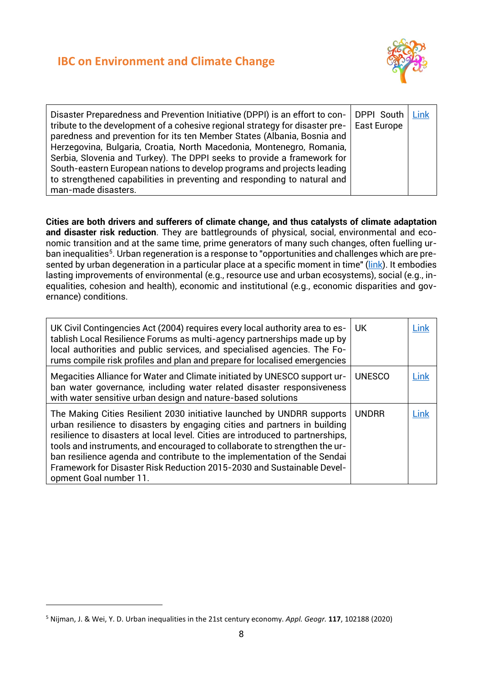

| Disaster Preparedness and Prevention Initiative (DPPI) is an effort to con-<br>tribute to the development of a cohesive regional strategy for disaster pre-<br>paredness and prevention for its ten Member States (Albania, Bosnia and<br>Herzegovina, Bulgaria, Croatia, North Macedonia, Montenegro, Romania,<br>Serbia, Slovenia and Turkey). The DPPI seeks to provide a framework for<br>South-eastern European nations to develop programs and projects leading<br>to strengthened capabilities in preventing and responding to natural and | DPPI South   Link<br>East Europe |  |
|---------------------------------------------------------------------------------------------------------------------------------------------------------------------------------------------------------------------------------------------------------------------------------------------------------------------------------------------------------------------------------------------------------------------------------------------------------------------------------------------------------------------------------------------------|----------------------------------|--|
| man-made disasters.                                                                                                                                                                                                                                                                                                                                                                                                                                                                                                                               |                                  |  |

**Cities are both drivers and sufferers of climate change, and thus catalysts of climate adaptation and disaster risk reduction**. They are battlegrounds of physical, social, environmental and economic transition and at the same time, prime generators of many such changes, often fuelling ur-ban inequalities<sup>[5](#page-9-0)</sup>. Urban regeneration is a response to "opportunities and challenges which are pre-sented by urban degeneration in a particular place at a specific moment in time" [\(link\)](https://sk.sagepub.com/Books/urban-regeneration-2e/i281.xml). It embodies lasting improvements of environmental (e.g., resource use and urban ecosystems), social (e.g., inequalities, cohesion and health), economic and institutional (e.g., economic disparities and governance) conditions.

| UK Civil Contingencies Act (2004) requires every local authority area to es-<br>UK.<br>tablish Local Resilience Forums as multi-agency partnerships made up by<br>local authorities and public services, and specialised agencies. The Fo-<br>rums compile risk profiles and plan and prepare for localised emergencies                                                                                                                                                                                             | Link |
|---------------------------------------------------------------------------------------------------------------------------------------------------------------------------------------------------------------------------------------------------------------------------------------------------------------------------------------------------------------------------------------------------------------------------------------------------------------------------------------------------------------------|------|
| Megacities Alliance for Water and Climate initiated by UNESCO support ur-<br><b>UNESCO</b><br>ban water governance, including water related disaster responsiveness<br>with water sensitive urban design and nature-based solutions                                                                                                                                                                                                                                                                                 | Link |
| The Making Cities Resilient 2030 initiative launched by UNDRR supports<br><b>UNDRR</b><br>urban resilience to disasters by engaging cities and partners in building<br>resilience to disasters at local level. Cities are introduced to partnerships,<br>tools and instruments, and encouraged to collaborate to strengthen the ur-<br>ban resilience agenda and contribute to the implementation of the Sendai<br>Framework for Disaster Risk Reduction 2015-2030 and Sustainable Devel-<br>opment Goal number 11. | Link |

<span id="page-9-0"></span><sup>5</sup> Nijman, J. & Wei, Y. D. Urban inequalities in the 21st century economy. *Appl. Geogr.* **117**, 102188 (2020)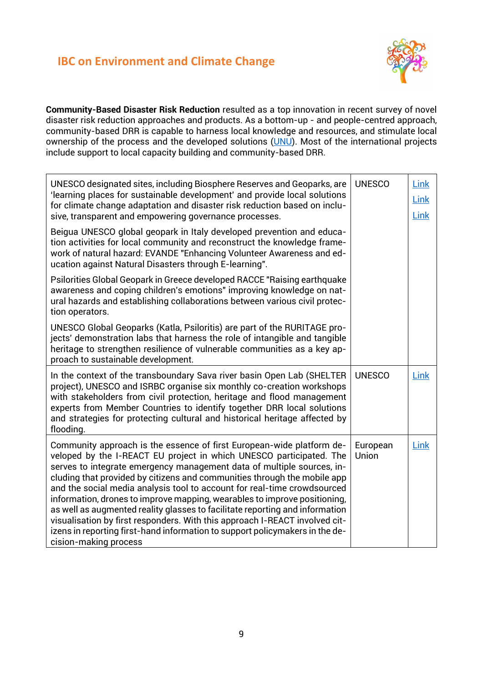

**Community-Based Disaster Risk Reduction** resulted as a top innovation in recent survey of novel disaster risk reduction approaches and products. As a bottom-up - and people-centred approach, community-based DRR is capable to harness local knowledge and resources, and stimulate local ownership of the process and the developed solutions [\(UNU\)](https://reliefweb.int/sites/reliefweb.int/files/resources/n30_Innovations_for_Disaster_Risk_Reduction_final.pdf). Most of the international projects include support to local capacity building and community-based DRR.

| UNESCO designated sites, including Biosphere Reserves and Geoparks, are<br>'learning places for sustainable development' and provide local solutions<br>for climate change adaptation and disaster risk reduction based on inclu-<br>sive, transparent and empowering governance processes.                                                                                                                                                                                                                                                                                                                                                                                                                                         | <b>UNESCO</b>     | Link<br>Link<br>Link |
|-------------------------------------------------------------------------------------------------------------------------------------------------------------------------------------------------------------------------------------------------------------------------------------------------------------------------------------------------------------------------------------------------------------------------------------------------------------------------------------------------------------------------------------------------------------------------------------------------------------------------------------------------------------------------------------------------------------------------------------|-------------------|----------------------|
| Beigua UNESCO global geopark in Italy developed prevention and educa-<br>tion activities for local community and reconstruct the knowledge frame-<br>work of natural hazard: EVANDE "Enhancing Volunteer Awareness and ed-<br>ucation against Natural Disasters through E-learning".                                                                                                                                                                                                                                                                                                                                                                                                                                                |                   |                      |
| Psilorities Global Geopark in Greece developed RACCE "Raising earthquake<br>awareness and coping children's emotions" improving knowledge on nat-<br>ural hazards and establishing collaborations between various civil protec-<br>tion operators.                                                                                                                                                                                                                                                                                                                                                                                                                                                                                  |                   |                      |
| UNESCO Global Geoparks (Katla, Psiloritis) are part of the RURITAGE pro-<br>jects' demonstration labs that harness the role of intangible and tangible<br>heritage to strengthen resilience of vulnerable communities as a key ap-<br>proach to sustainable development.                                                                                                                                                                                                                                                                                                                                                                                                                                                            |                   |                      |
| In the context of the transboundary Sava river basin Open Lab (SHELTER<br>project), UNESCO and ISRBC organise six monthly co-creation workshops<br>with stakeholders from civil protection, heritage and flood management<br>experts from Member Countries to identify together DRR local solutions<br>and strategies for protecting cultural and historical heritage affected by<br>flooding.                                                                                                                                                                                                                                                                                                                                      | <b>UNESCO</b>     | Link                 |
| Community approach is the essence of first European-wide platform de-<br>veloped by the I-REACT EU project in which UNESCO participated. The<br>serves to integrate emergency management data of multiple sources, in-<br>cluding that provided by citizens and communities through the mobile app<br>and the social media analysis tool to account for real-time crowdsourced<br>information, drones to improve mapping, wearables to improve positioning,<br>as well as augmented reality glasses to facilitate reporting and information<br>visualisation by first responders. With this approach I-REACT involved cit-<br>izens in reporting first-hand information to support policymakers in the de-<br>cision-making process | European<br>Union | Link                 |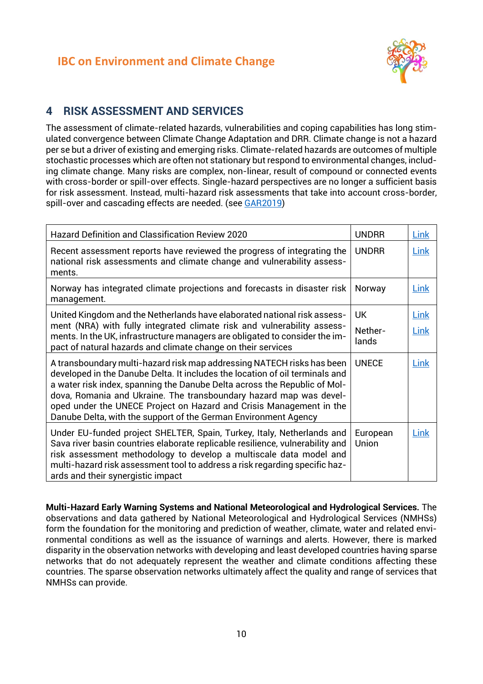

#### <span id="page-11-0"></span>**4 RISK ASSESSMENT AND SERVICES**

The assessment of climate-related hazards, vulnerabilities and coping capabilities has long stimulated convergence between Climate Change Adaptation and DRR. Climate change is not a hazard per se but a driver of existing and emerging risks. Climate-related hazards are outcomes of multiple stochastic processes which are often not stationary but respond to environmental changes, including climate change. Many risks are complex, non-linear, result of compound or connected events with cross-border or spill-over effects. Single-hazard perspectives are no longer a sufficient basis for risk assessment. Instead, multi-hazard risk assessments that take into account cross-border, spill-over and cascading effects are needed. (see [GAR2019\)](https://gar.undrr.org/)

| <b>Hazard Definition and Classification Review 2020</b>                                                                                                                                                                                                                                                                                                                                                                                             | <b>UNDRR</b>                  | Link                |
|-----------------------------------------------------------------------------------------------------------------------------------------------------------------------------------------------------------------------------------------------------------------------------------------------------------------------------------------------------------------------------------------------------------------------------------------------------|-------------------------------|---------------------|
| Recent assessment reports have reviewed the progress of integrating the<br>national risk assessments and climate change and vulnerability assess-<br>ments.                                                                                                                                                                                                                                                                                         | <b>UNDRR</b>                  | <b>Link</b>         |
| Norway has integrated climate projections and forecasts in disaster risk<br>management.                                                                                                                                                                                                                                                                                                                                                             | Norway                        | Link                |
| United Kingdom and the Netherlands have elaborated national risk assess-<br>ment (NRA) with fully integrated climate risk and vulnerability assess-<br>ments. In the UK, infrastructure managers are obligated to consider the im-<br>pact of natural hazards and climate change on their services                                                                                                                                                  | <b>UK</b><br>Nether-<br>lands | <b>Link</b><br>Link |
| A transboundary multi-hazard risk map addressing NATECH risks has been<br>developed in the Danube Delta. It includes the location of oil terminals and<br>a water risk index, spanning the Danube Delta across the Republic of Mol-<br>dova, Romania and Ukraine. The transboundary hazard map was devel-<br>oped under the UNECE Project on Hazard and Crisis Management in the<br>Danube Delta, with the support of the German Environment Agency | <b>UNECE</b>                  | Link                |
| Under EU-funded project SHELTER, Spain, Turkey, Italy, Netherlands and<br>Sava river basin countries elaborate replicable resilience, vulnerability and<br>risk assessment methodology to develop a multiscale data model and<br>multi-hazard risk assessment tool to address a risk regarding specific haz-<br>ards and their synergistic impact                                                                                                   | European<br>Union             | Link                |

**Multi-Hazard Early Warning Systems and National Meteorological and Hydrological Services.** The observations and data gathered by National Meteorological and Hydrological Services (NMHSs) form the foundation for the monitoring and prediction of weather, climate, water and related environmental conditions as well as the issuance of warnings and alerts. However, there is marked disparity in the observation networks with developing and least developed countries having sparse networks that do not adequately represent the weather and climate conditions affecting these countries. The sparse observation networks ultimately affect the quality and range of services that NMHSs can provide.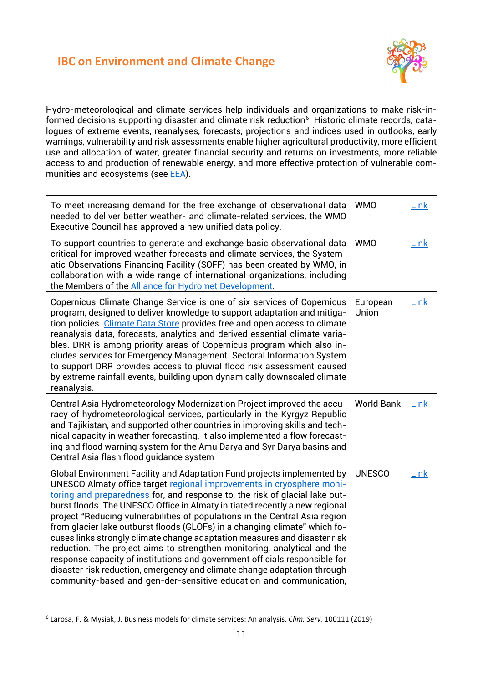

Hydro-meteorological and climate services help individuals and organizations to make risk-informed decisions supporting disaster and climate risk reduction<sup>6</sup>. Historic climate records, catalogues of extreme events, reanalyses, forecasts, projections and indices used in outlooks, early warnings, vulnerability and risk assessments enable higher agricultural productivity, more efficient use and allocation of water, greater financial security and returns on investments, more reliable access to and production of renewable energy, and more effective protection of vulnerable communities and ecosystems (se[e EEA\)](https://www.eea.europa.eu/publications/national-adaptation-policies).

| To meet increasing demand for the free exchange of observational data<br>needed to deliver better weather- and climate-related services, the WMO<br>Executive Council has approved a new unified data policy.                                                                                                                                                                                                                                                                                                                                                                                                                                                                                                                                                                                                                                                        | <b>WMO</b>        | Link        |
|----------------------------------------------------------------------------------------------------------------------------------------------------------------------------------------------------------------------------------------------------------------------------------------------------------------------------------------------------------------------------------------------------------------------------------------------------------------------------------------------------------------------------------------------------------------------------------------------------------------------------------------------------------------------------------------------------------------------------------------------------------------------------------------------------------------------------------------------------------------------|-------------------|-------------|
| To support countries to generate and exchange basic observational data<br>critical for improved weather forecasts and climate services, the System-<br>atic Observations Financing Facility (SOFF) has been created by WMO, in<br>collaboration with a wide range of international organizations, including<br>the Members of the <b>Alliance for Hydromet Development</b> .                                                                                                                                                                                                                                                                                                                                                                                                                                                                                         | <b>WMO</b>        | Link        |
| Copernicus Climate Change Service is one of six services of Copernicus<br>program, designed to deliver knowledge to support adaptation and mitiga-<br>tion policies. Climate Data Store provides free and open access to climate<br>reanalysis data, forecasts, analytics and derived essential climate varia-<br>bles. DRR is among priority areas of Copernicus program which also in-<br>cludes services for Emergency Management. Sectoral Information System<br>to support DRR provides access to pluvial flood risk assessment caused<br>by extreme rainfall events, building upon dynamically downscaled climate<br>reanalysis.                                                                                                                                                                                                                               | European<br>Union | <b>Link</b> |
| Central Asia Hydrometeorology Modernization Project improved the accu-<br>racy of hydrometeorological services, particularly in the Kyrgyz Republic<br>and Tajikistan, and supported other countries in improving skills and tech-<br>nical capacity in weather forecasting. It also implemented a flow forecast-<br>ing and flood warning system for the Amu Darya and Syr Darya basins and<br>Central Asia flash flood quidance system                                                                                                                                                                                                                                                                                                                                                                                                                             | <b>World Bank</b> | Link        |
| Global Environment Facility and Adaptation Fund projects implemented by<br>UNESCO Almaty office target regional improvements in cryosphere moni-<br>toring and preparedness for, and response to, the risk of glacial lake out-<br>burst floods. The UNESCO Office in Almaty initiated recently a new regional<br>project "Reducing vulnerabilities of populations in the Central Asia region<br>from glacier lake outburst floods (GLOFs) in a changing climate" which fo-<br>cuses links strongly climate change adaptation measures and disaster risk<br>reduction. The project aims to strengthen monitoring, analytical and the<br>response capacity of institutions and government officials responsible for<br>disaster risk reduction, emergency and climate change adaptation through<br>community-based and gen-der-sensitive education and communication, | <b>UNESCO</b>     | Link        |

<span id="page-12-0"></span><sup>6</sup> Larosa, F. & Mysiak, J. Business models for climate services: An analysis. *Clim. Serv.* 100111 (2019)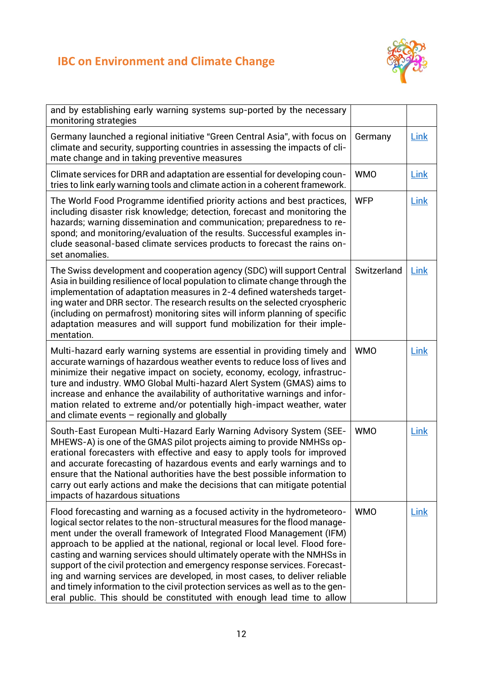

| and by establishing early warning systems sup-ported by the necessary<br>monitoring strategies                                                                                                                                                                                                                                                                                                                                                                                                                                                                                                                                                                                                                       |             |             |
|----------------------------------------------------------------------------------------------------------------------------------------------------------------------------------------------------------------------------------------------------------------------------------------------------------------------------------------------------------------------------------------------------------------------------------------------------------------------------------------------------------------------------------------------------------------------------------------------------------------------------------------------------------------------------------------------------------------------|-------------|-------------|
| Germany launched a regional initiative "Green Central Asia", with focus on<br>climate and security, supporting countries in assessing the impacts of cli-<br>mate change and in taking preventive measures                                                                                                                                                                                                                                                                                                                                                                                                                                                                                                           | Germany     | <b>Link</b> |
| Climate services for DRR and adaptation are essential for developing coun-<br>tries to link early warning tools and climate action in a coherent framework.                                                                                                                                                                                                                                                                                                                                                                                                                                                                                                                                                          | <b>WMO</b>  | Link        |
| The World Food Programme identified priority actions and best practices,<br>including disaster risk knowledge; detection, forecast and monitoring the<br>hazards; warning dissemination and communication; preparedness to re-<br>spond; and monitoring/evaluation of the results. Successful examples in-<br>clude seasonal-based climate services products to forecast the rains on-<br>set anomalies.                                                                                                                                                                                                                                                                                                             | <b>WFP</b>  | Link        |
| The Swiss development and cooperation agency (SDC) will support Central<br>Asia in building resilience of local population to climate change through the<br>implementation of adaptation measures in 2-4 defined watersheds target-<br>ing water and DRR sector. The research results on the selected cryospheric<br>(including on permafrost) monitoring sites will inform planning of specific<br>adaptation measures and will support fund mobilization for their imple-<br>mentation.                                                                                                                                                                                                                            | Switzerland | Link        |
| Multi-hazard early warning systems are essential in providing timely and<br>accurate warnings of hazardous weather events to reduce loss of lives and<br>minimize their negative impact on society, economy, ecology, infrastruc-<br>ture and industry. WMO Global Multi-hazard Alert System (GMAS) aims to<br>increase and enhance the availability of authoritative warnings and infor-<br>mation related to extreme and/or potentially high-impact weather, water<br>and climate events $-$ regionally and globally                                                                                                                                                                                               | <b>WMO</b>  | Link        |
| South-East European Multi-Hazard Early Warning Advisory System (SEE-<br>MHEWS-A) is one of the GMAS pilot projects aiming to provide NMHSs op-<br>erational forecasters with effective and easy to apply tools for improved<br>and accurate forecasting of hazardous events and early warnings and to<br>ensure that the National authorities have the best possible information to<br>carry out early actions and make the decisions that can mitigate potential<br>impacts of hazardous situations                                                                                                                                                                                                                 | <b>WMO</b>  | Link        |
| Flood forecasting and warning as a focused activity in the hydrometeoro-<br>logical sector relates to the non-structural measures for the flood manage-<br>ment under the overall framework of Integrated Flood Management (IFM)<br>approach to be applied at the national, regional or local level. Flood fore-<br>casting and warning services should ultimately operate with the NMHSs in<br>support of the civil protection and emergency response services. Forecast-<br>ing and warning services are developed, in most cases, to deliver reliable<br>and timely information to the civil protection services as well as to the gen-<br>eral public. This should be constituted with enough lead time to allow | <b>WMO</b>  | Link        |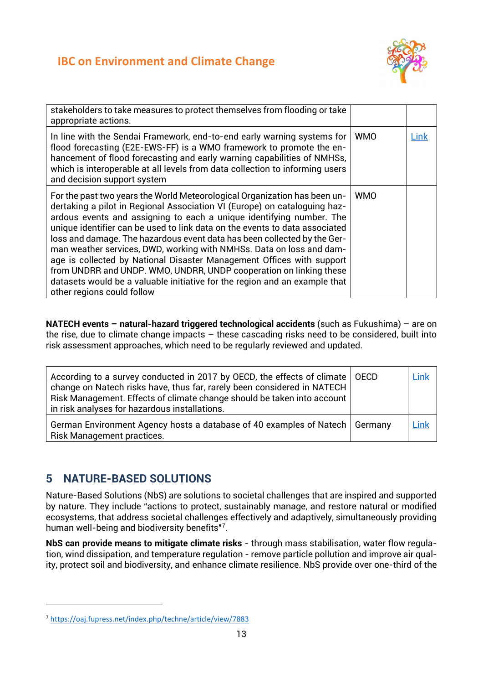

| stakeholders to take measures to protect themselves from flooding or take<br>appropriate actions.                                                                                                                                                                                                                                                                                                                                                                                                                                                                                                                                                                                                                            |            |      |
|------------------------------------------------------------------------------------------------------------------------------------------------------------------------------------------------------------------------------------------------------------------------------------------------------------------------------------------------------------------------------------------------------------------------------------------------------------------------------------------------------------------------------------------------------------------------------------------------------------------------------------------------------------------------------------------------------------------------------|------------|------|
| In line with the Sendai Framework, end-to-end early warning systems for<br>flood forecasting (E2E-EWS-FF) is a WMO framework to promote the en-<br>hancement of flood forecasting and early warning capabilities of NMHSs,<br>which is interoperable at all levels from data collection to informing users<br>and decision support system                                                                                                                                                                                                                                                                                                                                                                                    | <b>WMO</b> | Link |
| For the past two years the World Meteorological Organization has been un-<br>dertaking a pilot in Regional Association VI (Europe) on cataloguing haz-<br>ardous events and assigning to each a unique identifying number. The<br>unique identifier can be used to link data on the events to data associated<br>loss and damage. The hazardous event data has been collected by the Ger-<br>man weather services, DWD, working with NMHSs. Data on loss and dam-<br>age is collected by National Disaster Management Offices with support<br>from UNDRR and UNDP. WMO, UNDRR, UNDP cooperation on linking these<br>datasets would be a valuable initiative for the region and an example that<br>other regions could follow | <b>WMO</b> |      |

**NATECH events – natural-hazard triggered technological accidents** (such as Fukushima) – are on the rise, due to climate change impacts – these cascading risks need to be considered, built into risk assessment approaches, which need to be regularly reviewed and updated.

| According to a survey conducted in 2017 by OECD, the effects of climate   OECD<br>change on Natech risks have, thus far, rarely been considered in NATECH<br>Risk Management. Effects of climate change should be taken into account<br>in risk analyses for hazardous installations. | Link |
|---------------------------------------------------------------------------------------------------------------------------------------------------------------------------------------------------------------------------------------------------------------------------------------|------|
| German Environment Agency hosts a database of 40 examples of Natech   Germany<br>Risk Management practices.                                                                                                                                                                           | Link |

## <span id="page-14-0"></span>**5 NATURE-BASED SOLUTIONS**

Nature-Based Solutions (NbS) are solutions to societal challenges that are inspired and supported by nature. They include "actions to protect, sustainably manage, and restore natural or modified ecosystems, that address societal challenges effectively and adaptively, simultaneously providing human well-being and biodiversity benefits"<sup>[7](#page-14-1)</sup>.

**NbS can provide means to mitigate climate risks** - through mass stabilisation, water flow regulation, wind dissipation, and temperature regulation - remove particle pollution and improve air quality, protect soil and biodiversity, and enhance climate resilience. NbS provide over one-third of the

<span id="page-14-1"></span><sup>7</sup> <https://oaj.fupress.net/index.php/techne/article/view/7883>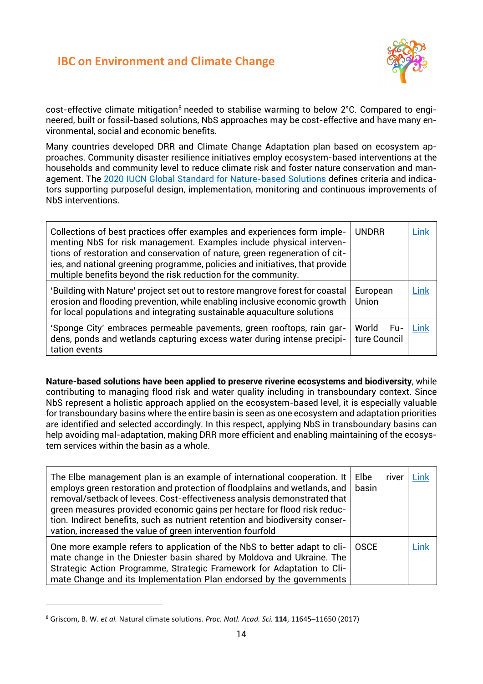

cost-effective climate mitigation<sup>[8](#page-15-0)</sup> needed to stabilise warming to below 2°C. Compared to engineered, built or fossil-based solutions, NbS approaches may be cost-effective and have many environmental, social and economic benefits.

Many countries developed DRR and Climate Change Adaptation plan based on ecosystem approaches. Community disaster resilience initiatives employ ecosystem-based interventions at the households and community level to reduce climate risk and foster nature conservation and management. The [2020 IUCN Global Standard for Nature-based Solutions](https://www.iucn.org/theme/nature-based-solutions/resources/iucn-global-standard-nbs#:%7E:text=According%20to%20the%20resolution%2C%20Nature,%2Dbeing%20and%20biodiversity%20benefits.%E2%80%9D) defines criteria and indicators supporting purposeful design, implementation, monitoring and continuous improvements of NbS interventions.

| Collections of best practices offer examples and experiences form imple-<br>menting NbS for risk management. Examples include physical interven-<br>tions of restoration and conservation of nature, green regeneration of cit-<br>ies, and national greening programme, policies and initiatives, that provide<br>multiple benefits beyond the risk reduction for the community. | <b>UNDRR</b>                   | Link |
|-----------------------------------------------------------------------------------------------------------------------------------------------------------------------------------------------------------------------------------------------------------------------------------------------------------------------------------------------------------------------------------|--------------------------------|------|
| 'Building with Nature' project set out to restore mangrove forest for coastal<br>erosion and flooding prevention, while enabling inclusive economic growth<br>for local populations and integrating sustainable aquaculture solutions                                                                                                                                             | European<br>Union              | .ink |
| 'Sponge City' embraces permeable pavements, green rooftops, rain gar-<br>dens, ponds and wetlands capturing excess water during intense precipi-<br>tation events                                                                                                                                                                                                                 | World<br>- Fu-<br>ture Council | Link |

**Nature-based solutions have been applied to preserve riverine ecosystems and biodiversity**, while contributing to managing flood risk and water quality including in transboundary context. Since NbS represent a holistic approach applied on the ecosystem-based level, it is especially valuable for transboundary basins where the entire basin is seen as one ecosystem and adaptation priorities are identified and selected accordingly. In this respect, applying NbS in transboundary basins can help avoiding mal-adaptation, making DRR more efficient and enabling maintaining of the ecosystem services within the basin as a whole.

| The Elbe management plan is an example of international cooperation. It<br>employs green restoration and protection of floodplains and wetlands, and<br>removal/setback of levees. Cost-effectiveness analysis demonstrated that<br>green measures provided economic gains per hectare for flood risk reduc- | Elbe<br>basin | river | Link |
|--------------------------------------------------------------------------------------------------------------------------------------------------------------------------------------------------------------------------------------------------------------------------------------------------------------|---------------|-------|------|
| tion. Indirect benefits, such as nutrient retention and biodiversity conser-<br>vation, increased the value of green intervention fourfold                                                                                                                                                                   |               |       |      |
| One more example refers to application of the NbS to better adapt to cli-<br>mate change in the Dniester basin shared by Moldova and Ukraine. The<br>Strategic Action Programme, Strategic Framework for Adaptation to Cli-<br>mate Change and its Implementation Plan endorsed by the governments           | <b>OSCE</b>   |       | Link |

<span id="page-15-0"></span><sup>8</sup> Griscom, B. W. *et al.* Natural climate solutions. *Proc. Natl. Acad. Sci.* **114**, 11645–11650 (2017)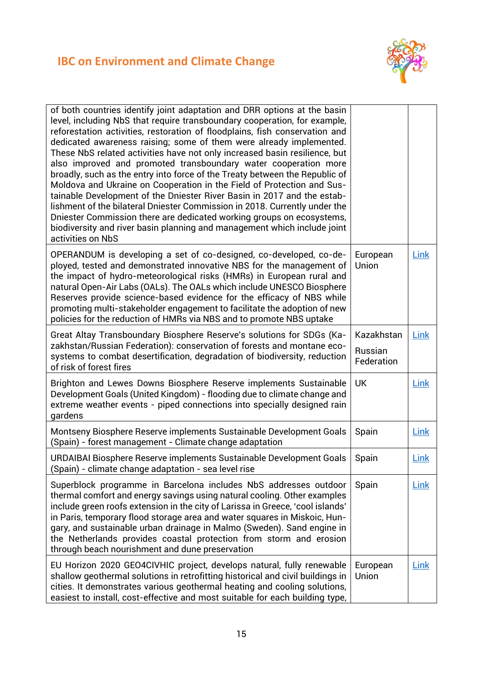

| of both countries identify joint adaptation and DRR options at the basin<br>level, including NbS that require transboundary cooperation, for example,<br>reforestation activities, restoration of floodplains, fish conservation and<br>dedicated awareness raising; some of them were already implemented.<br>These NbS related activities have not only increased basin resilience, but<br>also improved and promoted transboundary water cooperation more<br>broadly, such as the entry into force of the Treaty between the Republic of<br>Moldova and Ukraine on Cooperation in the Field of Protection and Sus-<br>tainable Development of the Dniester River Basin in 2017 and the estab-<br>lishment of the bilateral Dniester Commission in 2018. Currently under the<br>Dniester Commission there are dedicated working groups on ecosystems,<br>biodiversity and river basin planning and management which include joint<br>activities on NbS |                                     |             |
|----------------------------------------------------------------------------------------------------------------------------------------------------------------------------------------------------------------------------------------------------------------------------------------------------------------------------------------------------------------------------------------------------------------------------------------------------------------------------------------------------------------------------------------------------------------------------------------------------------------------------------------------------------------------------------------------------------------------------------------------------------------------------------------------------------------------------------------------------------------------------------------------------------------------------------------------------------|-------------------------------------|-------------|
| OPERANDUM is developing a set of co-designed, co-developed, co-de-<br>ployed, tested and demonstrated innovative NBS for the management of<br>the impact of hydro-meteorological risks (HMRs) in European rural and<br>natural Open-Air Labs (OALs). The OALs which include UNESCO Biosphere<br>Reserves provide science-based evidence for the efficacy of NBS while<br>promoting multi-stakeholder engagement to facilitate the adoption of new<br>policies for the reduction of HMRs via NBS and to promote NBS uptake                                                                                                                                                                                                                                                                                                                                                                                                                                | European<br>Union                   | <b>Link</b> |
| Great Altay Transboundary Biosphere Reserve's solutions for SDGs (Ka-<br>zakhstan/Russian Federation): conservation of forests and montane eco-<br>systems to combat desertification, degradation of biodiversity, reduction<br>of risk of forest fires                                                                                                                                                                                                                                                                                                                                                                                                                                                                                                                                                                                                                                                                                                  | Kazakhstan<br>Russian<br>Federation | Link        |
| Brighton and Lewes Downs Biosphere Reserve implements Sustainable<br>Development Goals (United Kingdom) - flooding due to climate change and<br>extreme weather events - piped connections into specially designed rain<br>gardens                                                                                                                                                                                                                                                                                                                                                                                                                                                                                                                                                                                                                                                                                                                       | <b>UK</b>                           | Link        |
| Montseny Biosphere Reserve implements Sustainable Development Goals<br>(Spain) - forest management - Climate change adaptation                                                                                                                                                                                                                                                                                                                                                                                                                                                                                                                                                                                                                                                                                                                                                                                                                           | Spain                               | <b>Link</b> |
| URDAIBAI Biosphere Reserve implements Sustainable Development Goals<br>(Spain) - climate change adaptation - sea level rise                                                                                                                                                                                                                                                                                                                                                                                                                                                                                                                                                                                                                                                                                                                                                                                                                              | Spain                               | Link        |
| Superblock programme in Barcelona includes NbS addresses outdoor<br>thermal comfort and energy savings using natural cooling. Other examples<br>include green roofs extension in the city of Larissa in Greece, 'cool islands'<br>in Paris, temporary flood storage area and water squares in Miskoic, Hun-<br>gary, and sustainable urban drainage in Malmo (Sweden). Sand engine in<br>the Netherlands provides coastal protection from storm and erosion<br>through beach nourishment and dune preservation                                                                                                                                                                                                                                                                                                                                                                                                                                           | Spain                               | <b>Link</b> |
| EU Horizon 2020 GEO4CIVHIC project, develops natural, fully renewable<br>shallow geothermal solutions in retrofitting historical and civil buildings in<br>cities. It demonstrates various geothermal heating and cooling solutions,<br>easiest to install, cost-effective and most suitable for each building type,                                                                                                                                                                                                                                                                                                                                                                                                                                                                                                                                                                                                                                     | European<br>Union                   | Link        |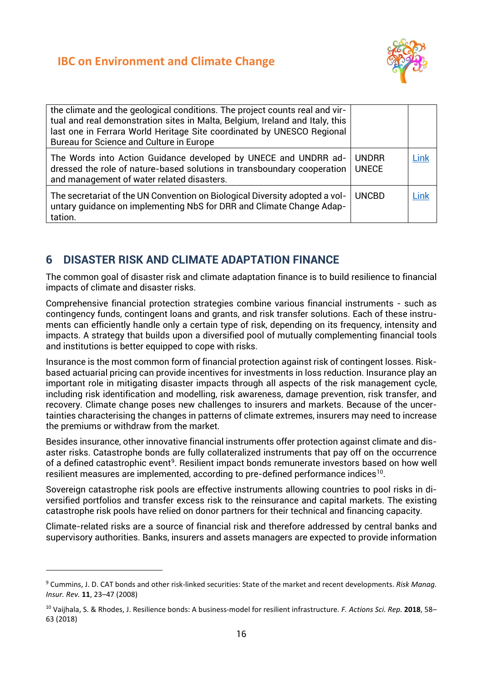

| the climate and the geological conditions. The project counts real and vir-<br>tual and real demonstration sites in Malta, Belgium, Ireland and Italy, this<br>last one in Ferrara World Heritage Site coordinated by UNESCO Regional<br>Bureau for Science and Culture in Europe |                              |      |
|-----------------------------------------------------------------------------------------------------------------------------------------------------------------------------------------------------------------------------------------------------------------------------------|------------------------------|------|
| The Words into Action Guidance developed by UNECE and UNDRR ad-<br>dressed the role of nature-based solutions in transboundary cooperation<br>and management of water related disasters.                                                                                          | <b>UNDRR</b><br><b>UNECE</b> | Link |
| The secretariat of the UN Convention on Biological Diversity adopted a vol-<br>untary quidance on implementing NbS for DRR and Climate Change Adap-<br>tation.                                                                                                                    | <b>UNCBD</b>                 | Link |

#### <span id="page-17-0"></span>**6 DISASTER RISK AND CLIMATE ADAPTATION FINANCE**

The common goal of disaster risk and climate adaptation finance is to build resilience to financial impacts of climate and disaster risks.

Comprehensive financial protection strategies combine various financial instruments - such as contingency funds, contingent loans and grants, and risk transfer solutions. Each of these instruments can efficiently handle only a certain type of risk, depending on its frequency, intensity and impacts. A strategy that builds upon a diversified pool of mutually complementing financial tools and institutions is better equipped to cope with risks.

Insurance is the most common form of financial protection against risk of contingent losses. Riskbased actuarial pricing can provide incentives for investments in loss reduction. Insurance play an important role in mitigating disaster impacts through all aspects of the risk management cycle, including risk identification and modelling, risk awareness, damage prevention, risk transfer, and recovery. Climate change poses new challenges to insurers and markets. Because of the uncertainties characterising the changes in patterns of climate extremes, insurers may need to increase the premiums or withdraw from the market.

Besides insurance, other innovative financial instruments offer protection against climate and disaster risks. Catastrophe bonds are fully collateralized instruments that pay off on the occurrence of a defined catastrophic event<sup>[9](#page-17-1)</sup>. Resilient impact bonds remunerate investors based on how well resilient measures are implemented, according to pre-defined performance indices<sup>[10](#page-17-2)</sup>.

Sovereign catastrophe risk pools are effective instruments allowing countries to pool risks in diversified portfolios and transfer excess risk to the reinsurance and capital markets. The existing catastrophe risk pools have relied on donor partners for their technical and financing capacity.

Climate-related risks are a source of financial risk and therefore addressed by central banks and supervisory authorities. Banks, insurers and assets managers are expected to provide information

<span id="page-17-1"></span><sup>9</sup> Cummins, J. D. CAT bonds and other risk-linked securities: State of the market and recent developments. *Risk Manag. Insur. Rev.* **11**, 23–47 (2008)

<span id="page-17-2"></span><sup>10</sup> Vaijhala, S. & Rhodes, J. Resilience bonds: A business-model for resilient infrastructure. *F. Actions Sci. Rep.* **2018**, 58– 63 (2018)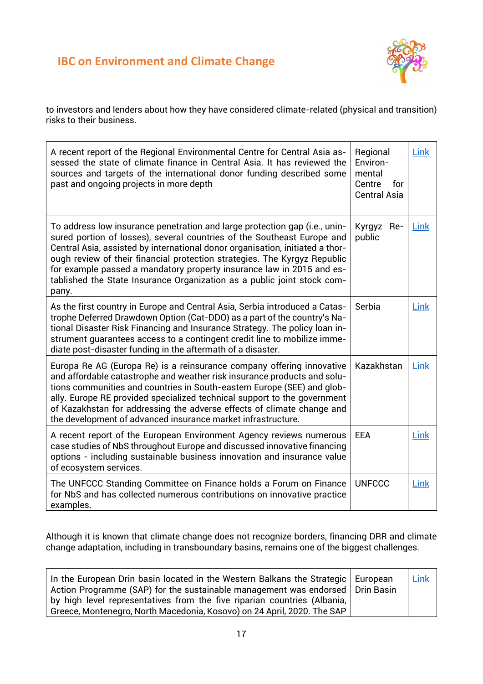

to investors and lenders about how they have considered climate-related (physical and transition) risks to their business.

| A recent report of the Regional Environmental Centre for Central Asia as-<br>sessed the state of climate finance in Central Asia. It has reviewed the<br>sources and targets of the international donor funding described some<br>past and ongoing projects in more depth                                                                                                                                                                                                        | Regional<br>Environ-<br>mental<br>Centre<br>for<br><b>Central Asia</b> | Link |
|----------------------------------------------------------------------------------------------------------------------------------------------------------------------------------------------------------------------------------------------------------------------------------------------------------------------------------------------------------------------------------------------------------------------------------------------------------------------------------|------------------------------------------------------------------------|------|
| To address low insurance penetration and large protection gap (i.e., unin-<br>sured portion of losses), several countries of the Southeast Europe and<br>Central Asia, assisted by international donor organisation, initiated a thor-<br>ough review of their financial protection strategies. The Kyrgyz Republic<br>for example passed a mandatory property insurance law in 2015 and es-<br>tablished the State Insurance Organization as a public joint stock com-<br>pany. | Kyrgyz Re-<br>public                                                   | Link |
| As the first country in Europe and Central Asia, Serbia introduced a Catas-<br>trophe Deferred Drawdown Option (Cat-DDO) as a part of the country's Na-<br>tional Disaster Risk Financing and Insurance Strategy. The policy loan in-<br>strument quarantees access to a contingent credit line to mobilize imme-<br>diate post-disaster funding in the aftermath of a disaster.                                                                                                 | Serbia                                                                 | Link |
| Europa Re AG (Europa Re) is a reinsurance company offering innovative<br>and affordable catastrophe and weather risk insurance products and solu-<br>tions communities and countries in South-eastern Europe (SEE) and glob-<br>ally. Europe RE provided specialized technical support to the government<br>of Kazakhstan for addressing the adverse effects of climate change and<br>the development of advanced insurance market infrastructure.                               | Kazakhstan                                                             | Link |
| A recent report of the European Environment Agency reviews numerous<br>case studies of NbS throughout Europe and discussed innovative financing<br>options - including sustainable business innovation and insurance value<br>of ecosystem services.                                                                                                                                                                                                                             | <b>EEA</b>                                                             | Link |
| The UNFCCC Standing Committee on Finance holds a Forum on Finance<br>for NbS and has collected numerous contributions on innovative practice<br>examples.                                                                                                                                                                                                                                                                                                                        | <b>UNFCCC</b>                                                          | Link |

Although it is known that climate change does not recognize borders, financing DRR and climate change adaptation, including in transboundary basins, remains one of the biggest challenges.

| In the European Drin basin located in the Western Balkans the Strategic   European<br>$\mid$ Action Programme (SAP) for the sustainable management was endorsed $\mid$ Drin Basin<br>by high level representatives from the five riparian countries (Albania, | Link |
|---------------------------------------------------------------------------------------------------------------------------------------------------------------------------------------------------------------------------------------------------------------|------|
| Greece, Montenegro, North Macedonia, Kosovo) on 24 April, 2020. The SAP                                                                                                                                                                                       |      |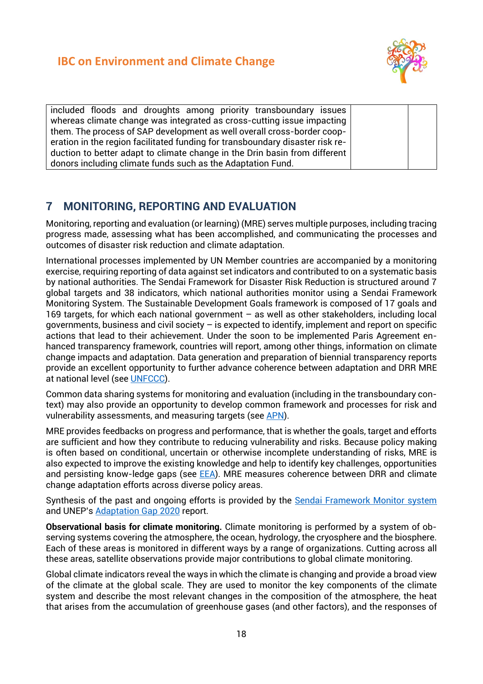

included floods and droughts among priority transboundary issues whereas climate change was integrated as cross-cutting issue impacting them. The process of SAP development as well overall cross-border cooperation in the region facilitated funding for transboundary disaster risk reduction to better adapt to climate change in the Drin basin from different donors including climate funds such as the Adaptation Fund.

## <span id="page-19-0"></span>**7 MONITORING, REPORTING AND EVALUATION**

Monitoring, reporting and evaluation (or learning) (MRE) serves multiple purposes, including tracing progress made, assessing what has been accomplished, and communicating the processes and outcomes of disaster risk reduction and climate adaptation.

International processes implemented by UN Member countries are accompanied by a monitoring exercise, requiring reporting of data against set indicators and contributed to on a systematic basis by national authorities. The Sendai Framework for Disaster Risk Reduction is structured around 7 global targets and 38 indicators, which national authorities monitor using a Sendai Framework Monitoring System. The Sustainable Development Goals framework is composed of 17 goals and 169 targets, for which each national government – as well as other stakeholders, including local governments, business and civil society – is expected to identify, implement and report on specific actions that lead to their achievement. Under the soon to be implemented Paris Agreement enhanced transparency framework, countries will report, among other things, information on climate change impacts and adaptation. Data generation and preparation of biennial transparency reports provide an excellent opportunity to further advance coherence between adaptation and DRR MRE at national level (see [UNFCCC\)](https://unfccc.int/sites/default/files/resource/ETFReferenceManual.pdf).

Common data sharing systems for monitoring and evaluation (including in the transboundary context) may also provide an opportunity to develop common framework and processes for risk and vulnerability assessments, and measuring targets (see [APN\)](https://www.apn-gcr.org/publication/integration-of-sdgs-the-sendai-framework-drr-and-ndcs-for-effective-development-planning/).

MRE provides feedbacks on progress and performance, that is whether the goals, target and efforts are sufficient and how they contribute to reducing vulnerability and risks. Because policy making is often based on conditional, uncertain or otherwise incomplete understanding of risks, MRE is also expected to improve the existing knowledge and help to identify key challenges, opportunities and persisting know-ledge gaps (see [EEA\)](https://www.eea.europa.eu/publications/national-monitoring-reporting-and-evaluation). MRE measures coherence between DRR and climate change adaptation efforts across diverse policy areas.

Synthesis of the past and ongoing efforts is provided by the [Sendai Framework Monitor](https://sendaimonitor.undrr.org/) system and UNEP's [Adaptation Gap 2020](https://www.unep.org/fr/resources/rapport-2020-sur-lecart-entre-les-besoins-et-les-perspectives-en-matiere-dadaptation) report.

**Observational basis for climate monitoring.** Climate monitoring is performed by a system of observing systems covering the atmosphere, the ocean, hydrology, the cryosphere and the biosphere. Each of these areas is monitored in different ways by a range of organizations. Cutting across all these areas, satellite observations provide major contributions to global climate monitoring.

Global climate indicators reveal the ways in which the climate is changing and provide a broad view of the climate at the global scale. They are used to monitor the key components of the climate system and describe the most relevant changes in the composition of the atmosphere, the heat that arises from the accumulation of greenhouse gases (and other factors), and the responses of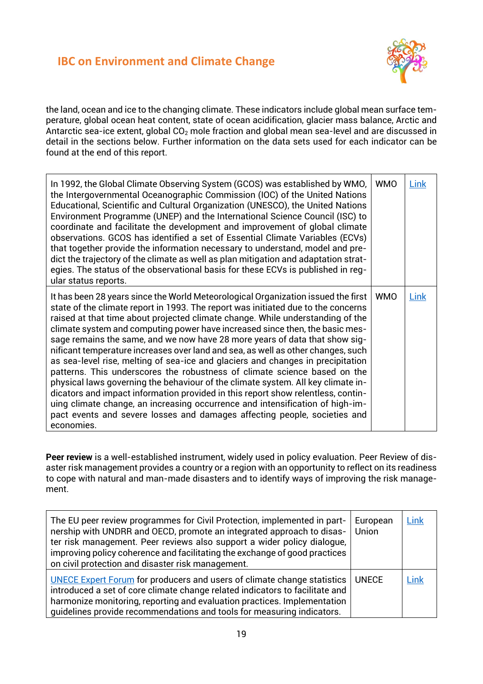

the land, ocean and ice to the changing climate. These indicators include global mean surface temperature, global ocean heat content, state of ocean acidification, glacier mass balance, Arctic and Antarctic sea-ice extent, global CO<sub>2</sub> mole fraction and global mean sea-level and are discussed in detail in the sections below. Further information on the data sets used for each indicator can be found at the end of this report.

| In 1992, the Global Climate Observing System (GCOS) was established by WMO,<br>the Intergovernmental Oceanographic Commission (IOC) of the United Nations<br>Educational, Scientific and Cultural Organization (UNESCO), the United Nations<br>Environment Programme (UNEP) and the International Science Council (ISC) to<br>coordinate and facilitate the development and improvement of global climate<br>observations. GCOS has identified a set of Essential Climate Variables (ECVs)<br>that together provide the information necessary to understand, model and pre-<br>dict the trajectory of the climate as well as plan mitigation and adaptation strat-<br>egies. The status of the observational basis for these ECVs is published in reg-<br>ular status reports.                                                                                                                                                                                                                                                  | <b>WMO</b> | Link |
|---------------------------------------------------------------------------------------------------------------------------------------------------------------------------------------------------------------------------------------------------------------------------------------------------------------------------------------------------------------------------------------------------------------------------------------------------------------------------------------------------------------------------------------------------------------------------------------------------------------------------------------------------------------------------------------------------------------------------------------------------------------------------------------------------------------------------------------------------------------------------------------------------------------------------------------------------------------------------------------------------------------------------------|------------|------|
| It has been 28 years since the World Meteorological Organization issued the first<br>state of the climate report in 1993. The report was initiated due to the concerns<br>raised at that time about projected climate change. While understanding of the<br>climate system and computing power have increased since then, the basic mes-<br>sage remains the same, and we now have 28 more years of data that show sig-<br>nificant temperature increases over land and sea, as well as other changes, such<br>as sea-level rise, melting of sea-ice and glaciers and changes in precipitation<br>patterns. This underscores the robustness of climate science based on the<br>physical laws governing the behaviour of the climate system. All key climate in-<br>dicators and impact information provided in this report show relentless, contin-<br>uing climate change, an increasing occurrence and intensification of high-im-<br>pact events and severe losses and damages affecting people, societies and<br>economies. | <b>WMO</b> | Link |

**Peer review** is a well-established instrument, widely used in policy evaluation. Peer Review of disaster risk management provides a country or a region with an opportunity to reflect on its readiness to cope with natural and man-made disasters and to identify ways of improving the risk management.

| The EU peer review programmes for Civil Protection, implemented in part-<br>nership with UNDRR and OECD, promote an integrated approach to disas-<br>ter risk management. Peer reviews also support a wider policy dialogue,<br>improving policy coherence and facilitating the exchange of good practices<br>on civil protection and disaster risk management. | European<br>Union | Link |
|-----------------------------------------------------------------------------------------------------------------------------------------------------------------------------------------------------------------------------------------------------------------------------------------------------------------------------------------------------------------|-------------------|------|
| <b>UNECE Expert Forum for producers and users of climate change statistics</b><br>introduced a set of core climate change related indicators to facilitate and<br>harmonize monitoring, reporting and evaluation practices. Implementation<br>guidelines provide recommendations and tools for measuring indicators.                                            | <b>UNECE</b>      | Link |